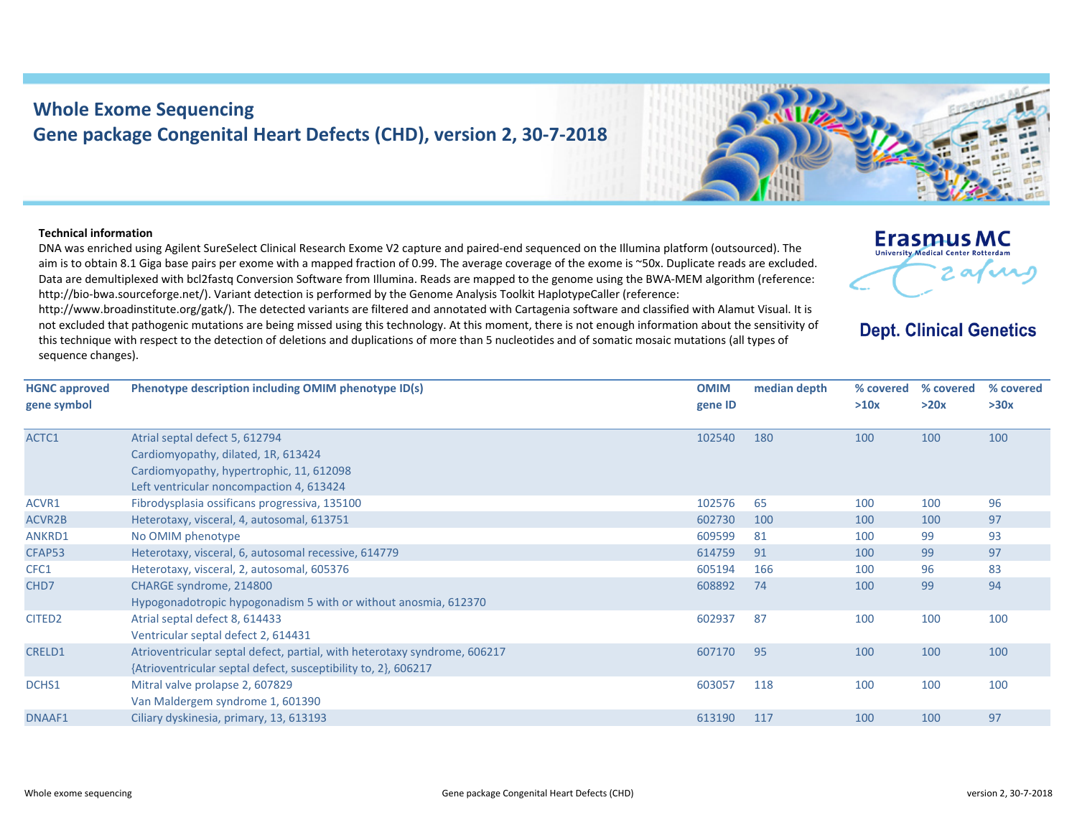## **Whole Exome Sequencing Gene package Congenital Heart Defects (CHD), version 2, 30‐7‐2018**

## **Technical information**

**gene symbol**

DNA was enriched using Agilent SureSelect Clinical Research Exome V2 capture and paired‐end sequenced on the Illumina platform (outsourced). The aim is to obtain 8.1 Giga base pairs per exome with <sup>a</sup> mapped fraction of 0.99. The average coverage of the exome is ~50x. Duplicate reads are excluded. Data are demultiplexed with bcl2fastq Conversion Software from Illumina. Reads are mapped to the genome using the BWA‐MEM algorithm (reference: http://bio-bwa.sourceforge.net/). Variant detection is performed by the Genome Analysis Toolkit HaplotypeCaller (reference:

http://www.broadinstitute.org/gatk/). The detected variants are filtered and annotated with Cartagenia software and classified with Alamut Visual. It is not excluded that pathogenic mutations are being missed using this technology. At this moment, there is not enough information about the sensitivity of this technique with respect to the detection of deletions and duplications of more than 5 nucleotides and of somatic mosaic mutations (all types of sequence changes).

**HGNC approved Phenotype description including OMIM phenotype ID(s) OMIM gene ID median depth % covered % covered >10x**l septal defect 5, 612794 Cardiomyopathy, dilated, 1R, 613424

| ACTC1              | Atrial septal defect 5, 612794                                            | 102540 | 180 | 100 | 100 | 100 |
|--------------------|---------------------------------------------------------------------------|--------|-----|-----|-----|-----|
|                    | Cardiomyopathy, dilated, 1R, 613424                                       |        |     |     |     |     |
|                    | Cardiomyopathy, hypertrophic, 11, 612098                                  |        |     |     |     |     |
|                    | Left ventricular noncompaction 4, 613424                                  |        |     |     |     |     |
| ACVR1              | Fibrodysplasia ossificans progressiva, 135100                             | 102576 | 65  | 100 | 100 | 96  |
| ACVR2B             | Heterotaxy, visceral, 4, autosomal, 613751                                | 602730 | 100 | 100 | 100 | 97  |
| ANKRD1             | No OMIM phenotype                                                         | 609599 | 81  | 100 | 99  | 93  |
| CFAP53             | Heterotaxy, visceral, 6, autosomal recessive, 614779                      | 614759 | 91  | 100 | 99  | 97  |
| CFC1               | Heterotaxy, visceral, 2, autosomal, 605376                                | 605194 | 166 | 100 | 96  | 83  |
| CHD7               | CHARGE syndrome, 214800                                                   | 608892 | 74  | 100 | 99  | 94  |
|                    | Hypogonadotropic hypogonadism 5 with or without anosmia, 612370           |        |     |     |     |     |
| CITED <sub>2</sub> | Atrial septal defect 8, 614433                                            | 602937 | 87  | 100 | 100 | 100 |
|                    | Ventricular septal defect 2, 614431                                       |        |     |     |     |     |
| <b>CRELD1</b>      | Atrioventricular septal defect, partial, with heterotaxy syndrome, 606217 | 607170 | 95  | 100 | 100 | 100 |
|                    | {Atrioventricular septal defect, susceptibility to, 2}, 606217            |        |     |     |     |     |
| DCHS1              | Mitral valve prolapse 2, 607829                                           | 603057 | 118 | 100 | 100 | 100 |
|                    | Van Maldergem syndrome 1, 601390                                          |        |     |     |     |     |
| DNAAF1             | Ciliary dyskinesia, primary, 13, 613193                                   | 613190 | 117 | 100 | 100 | 97  |
|                    |                                                                           |        |     |     |     |     |



## **Dept. Clinical Genetics**

**Erasmus MC** University Medical Center Rotterdar

> **% covered >30x**

**>20x**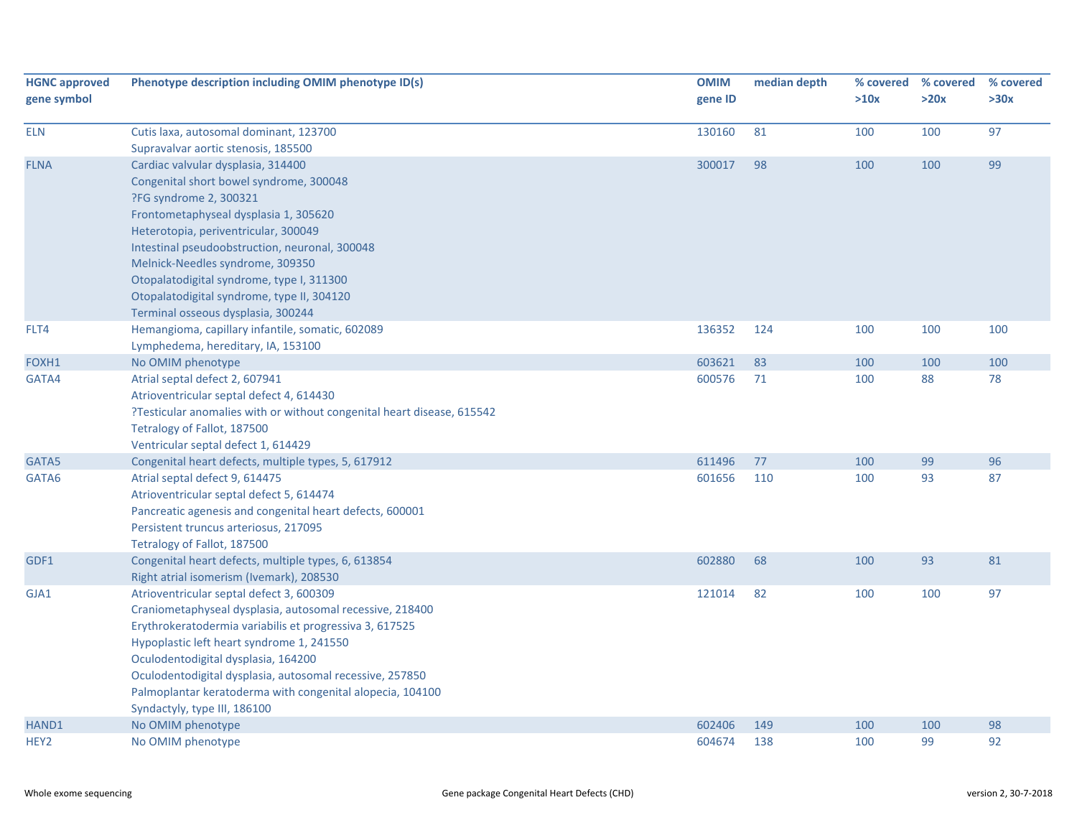| <b>HGNC approved</b><br>gene symbol | Phenotype description including OMIM phenotype ID(s)                          | <b>OMIM</b><br>gene ID | median depth | >10x | % covered % covered<br>>20x | % covered<br>>30x |
|-------------------------------------|-------------------------------------------------------------------------------|------------------------|--------------|------|-----------------------------|-------------------|
| <b>ELN</b>                          |                                                                               |                        |              |      |                             | 97                |
|                                     | Cutis laxa, autosomal dominant, 123700<br>Supravalvar aortic stenosis, 185500 | 130160                 | 81           | 100  | 100                         |                   |
| <b>FLNA</b>                         | Cardiac valvular dysplasia, 314400                                            | 300017                 | 98           | 100  | 100                         | 99                |
|                                     | Congenital short bowel syndrome, 300048                                       |                        |              |      |                             |                   |
|                                     |                                                                               |                        |              |      |                             |                   |
|                                     | ?FG syndrome 2, 300321<br>Frontometaphyseal dysplasia 1, 305620               |                        |              |      |                             |                   |
|                                     | Heterotopia, periventricular, 300049                                          |                        |              |      |                             |                   |
|                                     | Intestinal pseudoobstruction, neuronal, 300048                                |                        |              |      |                             |                   |
|                                     | Melnick-Needles syndrome, 309350                                              |                        |              |      |                             |                   |
|                                     | Otopalatodigital syndrome, type I, 311300                                     |                        |              |      |                             |                   |
|                                     | Otopalatodigital syndrome, type II, 304120                                    |                        |              |      |                             |                   |
|                                     | Terminal osseous dysplasia, 300244                                            |                        |              |      |                             |                   |
| FLT4                                | Hemangioma, capillary infantile, somatic, 602089                              | 136352                 | 124          | 100  | 100                         | 100               |
|                                     | Lymphedema, hereditary, IA, 153100                                            |                        |              |      |                             |                   |
| FOXH1                               | No OMIM phenotype                                                             | 603621                 | 83           | 100  | 100                         | 100               |
| GATA4                               | Atrial septal defect 2, 607941                                                | 600576                 | 71           | 100  | 88                          | 78                |
|                                     | Atrioventricular septal defect 4, 614430                                      |                        |              |      |                             |                   |
|                                     | ?Testicular anomalies with or without congenital heart disease, 615542        |                        |              |      |                             |                   |
|                                     | Tetralogy of Fallot, 187500                                                   |                        |              |      |                             |                   |
|                                     | Ventricular septal defect 1, 614429                                           |                        |              |      |                             |                   |
| GATA5                               | Congenital heart defects, multiple types, 5, 617912                           | 611496                 | 77           | 100  | 99                          | 96                |
| GATA6                               | Atrial septal defect 9, 614475                                                | 601656                 | 110          | 100  | 93                          | 87                |
|                                     | Atrioventricular septal defect 5, 614474                                      |                        |              |      |                             |                   |
|                                     | Pancreatic agenesis and congenital heart defects, 600001                      |                        |              |      |                             |                   |
|                                     | Persistent truncus arteriosus, 217095                                         |                        |              |      |                             |                   |
|                                     | Tetralogy of Fallot, 187500                                                   |                        |              |      |                             |                   |
| GDF1                                | Congenital heart defects, multiple types, 6, 613854                           | 602880                 | 68           | 100  | 93                          | 81                |
|                                     | Right atrial isomerism (Ivemark), 208530                                      |                        |              |      |                             |                   |
| GJA1                                | Atrioventricular septal defect 3, 600309                                      | 121014                 | 82           | 100  | 100                         | 97                |
|                                     | Craniometaphyseal dysplasia, autosomal recessive, 218400                      |                        |              |      |                             |                   |
|                                     | Erythrokeratodermia variabilis et progressiva 3, 617525                       |                        |              |      |                             |                   |
|                                     | Hypoplastic left heart syndrome 1, 241550                                     |                        |              |      |                             |                   |
|                                     | Oculodentodigital dysplasia, 164200                                           |                        |              |      |                             |                   |
|                                     | Oculodentodigital dysplasia, autosomal recessive, 257850                      |                        |              |      |                             |                   |
|                                     | Palmoplantar keratoderma with congenital alopecia, 104100                     |                        |              |      |                             |                   |
|                                     | Syndactyly, type III, 186100                                                  |                        |              |      |                             |                   |
| HAND1                               | No OMIM phenotype                                                             | 602406                 | 149          | 100  | 100                         | 98                |
| HEY <sub>2</sub>                    | No OMIM phenotype                                                             | 604674                 | 138          | 100  | 99                          | 92                |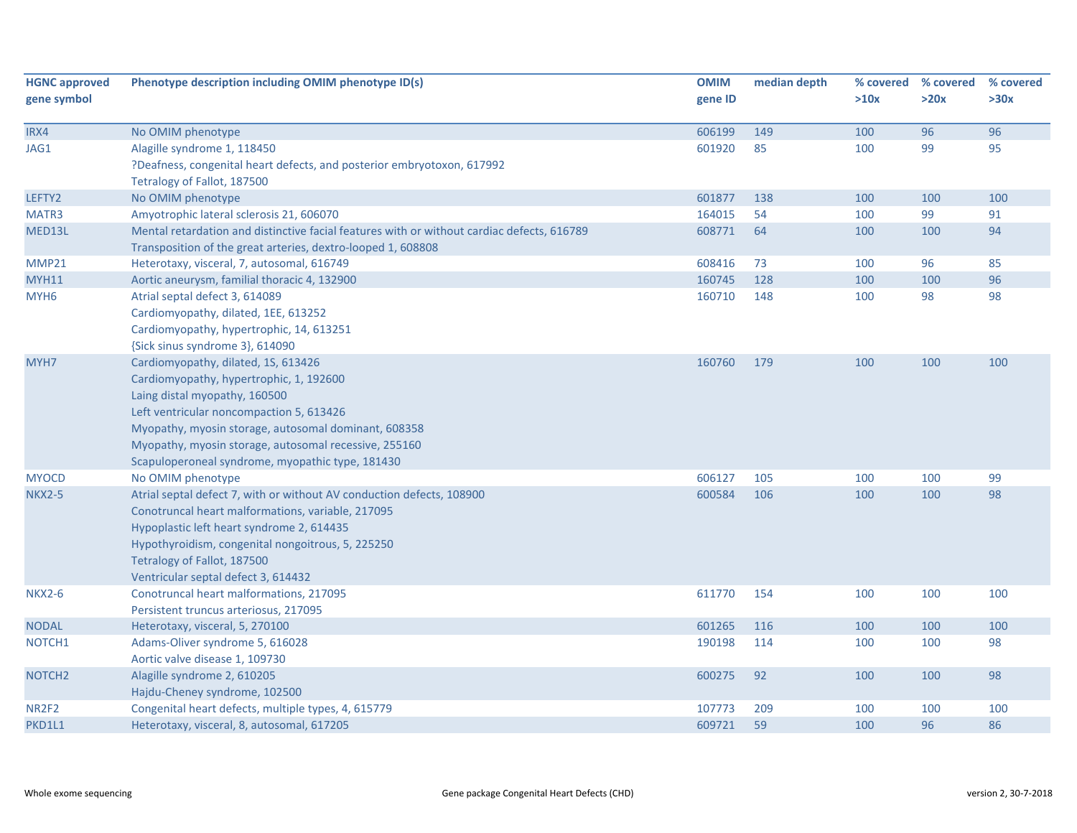| <b>HGNC approved</b><br>gene symbol | Phenotype description including OMIM phenotype ID(s)                                       | <b>OMIM</b><br>gene ID | median depth | % covered<br>>10x | % covered<br>>20x | % covered<br>>30x |
|-------------------------------------|--------------------------------------------------------------------------------------------|------------------------|--------------|-------------------|-------------------|-------------------|
| IRX4                                | No OMIM phenotype                                                                          | 606199                 | 149          | 100               | 96                | 96                |
| JAG1                                | Alagille syndrome 1, 118450                                                                | 601920                 | 85           | 100               | 99                | 95                |
|                                     | ?Deafness, congenital heart defects, and posterior embryotoxon, 617992                     |                        |              |                   |                   |                   |
|                                     | Tetralogy of Fallot, 187500                                                                |                        |              |                   |                   |                   |
| LEFTY2                              | No OMIM phenotype                                                                          | 601877                 | 138          | 100               | 100               | 100               |
| MATR3                               | Amyotrophic lateral sclerosis 21, 606070                                                   | 164015                 | 54           | 100               | 99                | 91                |
| MED13L                              | Mental retardation and distinctive facial features with or without cardiac defects, 616789 | 608771                 | 64           | 100               | 100               | 94                |
|                                     | Transposition of the great arteries, dextro-looped 1, 608808                               |                        |              |                   |                   |                   |
| <b>MMP21</b>                        | Heterotaxy, visceral, 7, autosomal, 616749                                                 | 608416                 | 73           | 100               | 96                | 85                |
| <b>MYH11</b>                        | Aortic aneurysm, familial thoracic 4, 132900                                               | 160745                 | 128          | 100               | 100               | 96                |
| MYH <sub>6</sub>                    | Atrial septal defect 3, 614089                                                             | 160710                 | 148          | 100               | 98                | 98                |
|                                     | Cardiomyopathy, dilated, 1EE, 613252                                                       |                        |              |                   |                   |                   |
|                                     | Cardiomyopathy, hypertrophic, 14, 613251                                                   |                        |              |                   |                   |                   |
|                                     | {Sick sinus syndrome 3}, 614090                                                            |                        |              |                   |                   |                   |
| MYH7                                | Cardiomyopathy, dilated, 1S, 613426                                                        | 160760                 | 179          | 100               | 100               | 100               |
|                                     | Cardiomyopathy, hypertrophic, 1, 192600                                                    |                        |              |                   |                   |                   |
|                                     | Laing distal myopathy, 160500                                                              |                        |              |                   |                   |                   |
|                                     | Left ventricular noncompaction 5, 613426                                                   |                        |              |                   |                   |                   |
|                                     | Myopathy, myosin storage, autosomal dominant, 608358                                       |                        |              |                   |                   |                   |
|                                     | Myopathy, myosin storage, autosomal recessive, 255160                                      |                        |              |                   |                   |                   |
|                                     | Scapuloperoneal syndrome, myopathic type, 181430                                           |                        |              |                   |                   |                   |
| <b>MYOCD</b>                        | No OMIM phenotype                                                                          | 606127                 | 105          | 100               | 100               | 99                |
| <b>NKX2-5</b>                       | Atrial septal defect 7, with or without AV conduction defects, 108900                      | 600584                 | 106          | 100               | 100               | 98                |
|                                     | Conotruncal heart malformations, variable, 217095                                          |                        |              |                   |                   |                   |
|                                     | Hypoplastic left heart syndrome 2, 614435                                                  |                        |              |                   |                   |                   |
|                                     | Hypothyroidism, congenital nongoitrous, 5, 225250                                          |                        |              |                   |                   |                   |
|                                     | Tetralogy of Fallot, 187500                                                                |                        |              |                   |                   |                   |
|                                     | Ventricular septal defect 3, 614432                                                        |                        |              |                   |                   |                   |
| <b>NKX2-6</b>                       | Conotruncal heart malformations, 217095                                                    | 611770                 | 154          | 100               | 100               | 100               |
|                                     | Persistent truncus arteriosus, 217095                                                      |                        |              |                   |                   |                   |
| <b>NODAL</b>                        | Heterotaxy, visceral, 5, 270100                                                            | 601265                 | 116          | 100               | 100               | 100               |
| NOTCH1                              | Adams-Oliver syndrome 5, 616028                                                            | 190198                 | 114          | 100               | 100               | 98                |
|                                     | Aortic valve disease 1, 109730                                                             |                        |              |                   |                   |                   |
| NOTCH <sub>2</sub>                  | Alagille syndrome 2, 610205                                                                | 600275                 | 92           | 100               | 100               | 98                |
|                                     | Hajdu-Cheney syndrome, 102500                                                              |                        |              |                   |                   |                   |
| NR <sub>2F<sub>2</sub></sub>        | Congenital heart defects, multiple types, 4, 615779                                        | 107773                 | 209          | 100               | 100               | 100               |
| PKD1L1                              | Heterotaxy, visceral, 8, autosomal, 617205                                                 | 609721                 | 59           | 100               | 96                | 86                |